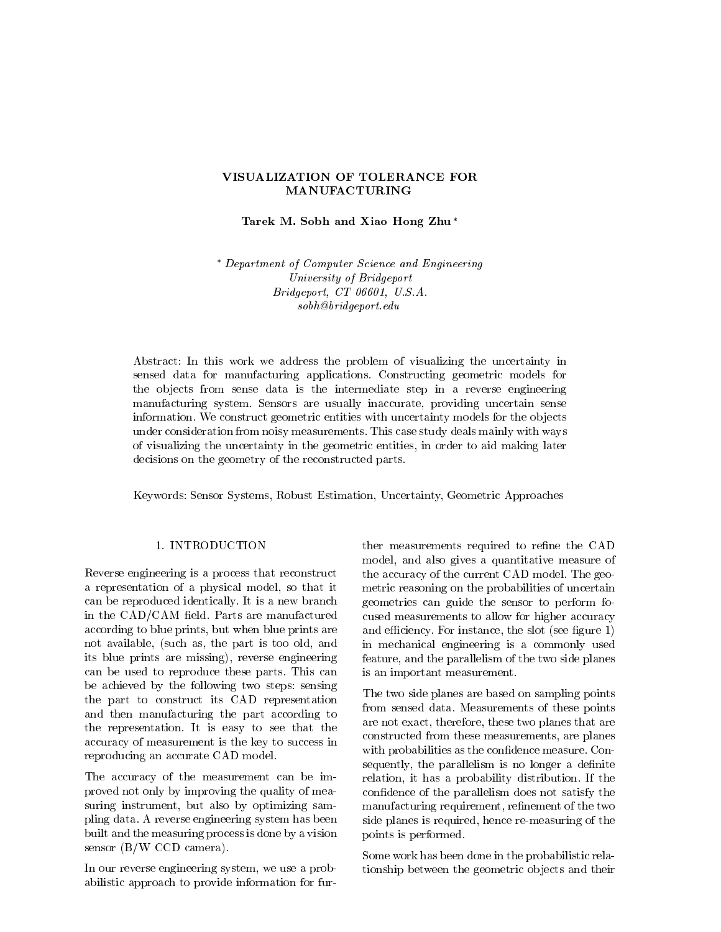### VISUALIZATION OF TOLERANCE FOR **MANUFACTURING**

Tarek M. Sobh and Xiao Hong Zhu\*

 Department of Computer Science and Engineering University of Bridgeport extending the contract of the contract of the contract of the contract of the contract of the contract of the contract of the contract of the contract of the contract of the contract of the contract of the contract of the  $soph@bridge port.edu$ 

Abstract: In this work we address the problem of visualizing the uncertainty in sensed data for manufacturing applications- Constructing geometric models for the objects from sense data is the intermediate step in a reverse engineering manufacturing system- Sensors are usually inaccurate providing uncertain sense information-with uncertainty with uncertainty models for the observed for the observed for the observed for the observed for the observed for the observed for the observed for the observed for the observed for the observed under consideration from noisy measurements- This case study deals mainly with ways of visualizing the uncertainty in the geometric entities, in order to aid making later decisions on the geometry of the reconstructed parts.

Keywords: Sensor Systems, Robust Estimation, Uncertainty, Geometric Approaches

### 1. INTRODUCTION

Reverse engineering is a process that reconstruct a representation of a physical model, so that it can be represented in the representation of the representation of the representation of the representation of the representation of the representation of the representation of the representation of the representation of th in the CADCAM eld- Parts are manufactured according to blue prints, but when blue prints are not available, (such as, the part is too old, and its blue prints are missing), reverse engineering can be used to represent these parts. In the case of  $\omega$ be achieved by the following two steps: sensing the part to construct its CAD representation and then manufacturing the part according to the representation-term in the representation-term in the representation-term in the representation-term in the accuracy of measurement is the key to success in reproducing an accurate CAD model-

The accuracy of the measurement can be im proved not only by improving the quality of mea suring instrument, but also by optimizing sampling data- A reverse engineering system has been built and the measuring process is done by a vision sensor  $(B/W$  CCD camera).

In our reverse engineering system, we use a probabilistic approach to provide information for fur 

ther measurements required to refine the CAD model, and also gives a quantitative measure of the accuracy of the current cade model-current cape  $\pi$ metric reasoning on the probabilities of uncertain geometries can guide the sensor to perform fo cused measurements to allow for higher accuracy and extensive the slot see gure the slot see gure the slot see gure the slot see gure the slot see gure the slo in mechanical engineering is a commonly used feature, and the parallelism of the two side planes is an important measurement.

The two side planes are based on sampling points from sensed data- Measurements of these points are not exact, therefore, these two planes that are constructed from these measurements, are planes with probabilities as the condence measure-  $\mathbb{R}^n$ sequently, the parallelism is no longer a definite relation it has a probability distribution- If the confidence of the parallelism does not satisfy the manufacturing requirement, refinement of the two side planes is required, hence re-measuring of the points is performed.

Some work has been done in the probabilistic rela tionship between the geometric ob jects and their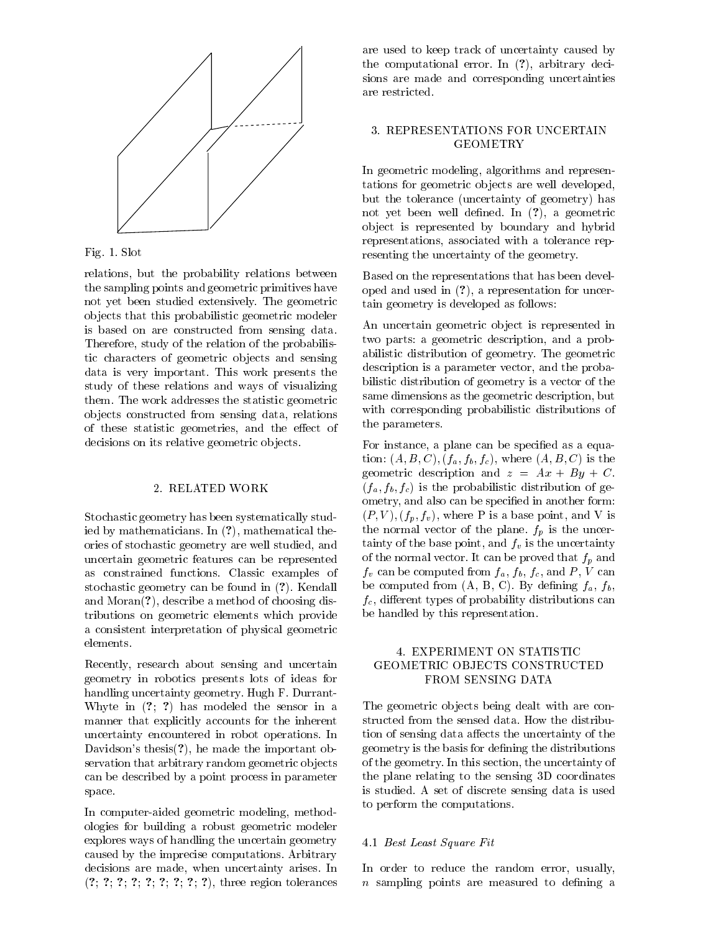



relations but the probability relations between the sampling points and geometric primitives have not yet been studied extensively- The geometric ob jects that this probabilistic geometric modeler is based on are constructed from sensing data. Therefore, study of the relation of the probabilistic characters of geometric objects and sensing data is very important-the interest of the control of the control of the control of the control of the control of the control of the control of the control of the control of the control of the control of the control of the study of these relations and ways of visualizing them- The work addresses the statistic geometric objects constructed from sensing data, relations of these statistic geometries, and the effect of decisions on its relative geometric objects.

Stochastic geometry has been systematically stud ied by mathematicians- In - mathematical the ories of stochastic geometry are well studied, and uncertain geometric features can be represented as constrained functions-between  $\blacksquare$  constraints-induced functions-induced functions-induced functions-induced functions-induced functions-induced functions-induced functions-induced functions-induced functions-induced stochastic geometry can be found in a stochastic geometry can be found in a stochastic geometry of the stochas and Moran-Moran-Moran-Moran-Moran-Moran-Moran-Moran-Moran-Moran-Moran-Moran-Moran-Moran-Moran-Moran-Moran-Mora tributions on geometric elements which provide a consistent interpretation of physical geometric elements.

Recently, research about sensing and uncertain geometry in robotics presents lots of ideas for handling uncertainty geometry-benefits and the second second second second second second second second second s where in  $\mathcal{N}$  is a sensor in a sensor in a sensor in a sensor in a sensor in a sensor in a sensor in a sensor in a sensor in a sensor in a sensor in a sensor in a sensor in a sensor in a sensor in a sensor in a sensor manner that explicitly accounts for the inherent uncertainty encountered in robot operations-weight control to the countered in robot operations-weight control to Davidsons thesis- he made the important ob servation that arbitrary random geometric objects can be described by a point process in parameter space.

In computer-aided geometric modeling, methodologies for building a robust geometric modeler explores ways of handling the uncertain geometry caused by the impression of the impression of the impression of the impression of the impression of the impression of the impression of the impression of the impression of the impression of the impression of the impression decisions are made when uncertainty arises  $\mu$  are made when  $\mu$ - - - - - - - - - three region tolerances

are used to keep track of uncertainty caused by the computational error-computational error-computational error-computational error-computational error-computational error-computational error-computational error-computational error-computational error-computational erro sions are made and corresponding uncertainties are restricted.

# **GEOMETRY**

In geometric modeling, algorithms and representations for geometric objects are well developed, but the tolerance (uncertainty of geometry) has not yet been well dened as a geometric ob ject is represented by boundary and hybrid representations, associated with a tolerance representing the uncertainty of the geometry.

Based on the representations that has been devel oped and used in - a representation for uncer tain geometry is developed as follows

An uncertain geometric ob ject is represented in two parts a geometric description and a prob abilities distribution of geometric processes and distribution of  $\mathcal{A}$ description is a parameter vector, and the probabilistic distribution of geometry is a vector of the same dimensions as the geometric description, but with corresponding probabilistic distributions of the parameters.

For instance, a plane can be specified as a equation:  $(A, B, C), (f_a, f_b, f_c),$  where  $(A, B, C)$  is the geometric description and  $z = Ax + By + C$ .  $(f_a, f_b, f_c)$  is the probabilistic distribution of geometry, and also can be specified in another form:  $(P, V), (f_p, f_v)$ , where P is a base point, and V is the normal vector of the plane-term  $\mathcal{J}(\mathcal{U})$ tainty of the base point, and  $f_v$  is the uncertainty of the normal vector- It can be proved that fp and  $f_v$  can be computed from  $f_a$ ,  $f_b$ ,  $f_c$ , and P, V can  $\mathbf{b}$  by dening from a both  $\mathbf{b}$  and  $\mathbf{b}$   $\mathbf{c}$  ,  $\mathbf{c}$  ,  $\mathbf{c}$  ,  $\mathbf{c}$  ,  $\mathbf{c}$  ,  $\mathbf{c}$  ,  $\mathbf{c}$  ,  $\mathbf{c}$  ,  $\mathbf{c}$  ,  $\mathbf{c}$  ,  $\mathbf{c}$  ,  $\mathbf{c}$  ,  $\mathbf{c}$  ,  $\mathbf{c}$  ,  $\mathbf{c}$  ,  $\math$  $f_c$ , different types of probability distributions can be handled by this representation.

## GEOMETRIC OBJECTS CONSTRUCTED FROM SENSING DATA

The geometric objects being dealt with are contion of sensing data affects the uncertainty of the geometry is the basis for dening the distributions of the geometry-tailor section the uncertainty of the uncertainty of the uncertainty of the uncertainty of the u the plane relating to the sensing 3D coordinates is studied- A set of discrete sensing data is used to perform the computations-

#### - Best Least Square Fit

In order to reduce the random error, usually,  $n$  sampling points are measured to defining a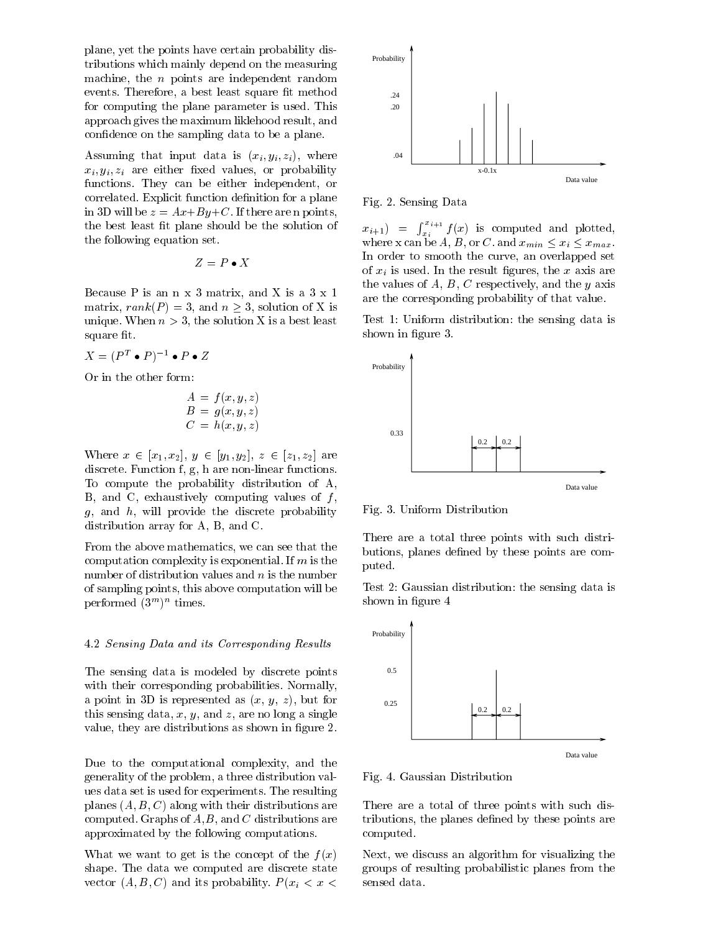plane, yet the points have certain probability distributions which mainly depend on the measuring machine, the  $n$  points are independent random events-best least square a best least square t methods a best least square t methods a best least square t met for computing the plane parameter is used- This approach gives the maximum liklehood result, and confidence on the sampling data to be a plane.

Assuming that input data is  $(x_i, y_i, z_i)$ , where  $x_i, y_i, z_i$  are either fixed values, or probability functions- They can be either independent or correlated-by the correlated-by the correlated-by the correlated-by the correlated-by the correlated-by the correlated-by the correlated-by the correlated-by the correlated-by the correlated-by the correlated-by the correl in D will be zero in D will be zero in points  $\mathbf{r}$  and  $\mathbf{r}$  are n points  $\mathbf{r}$  are n points  $\mathbf{r}$ the best least fit plane should be the solution of the following equation set.

$$
Z = P \bullet X
$$

Because P is an  $n \times 3$  matrix, and X is a  $3 \times 1$ matrix rank provided to an original control of the solution of  $\sim$ unique-solution X is a solution X is a best least least least least least least least least least least least l square fit.

 $\Lambda = (P^{\perp} \bullet P)^{\perp} \bullet P \bullet \Delta$ 

Or in the other form

$$
A = f(x, y, z)
$$
  
\n
$$
B = g(x, y, z)
$$
  
\n
$$
C = h(x, y, z)
$$

where  $\mathbf{y} = \mathbf{y} + \mathbf{z}$  and  $\mathbf{y} = \mathbf{y} + \mathbf{z}$  we write  $\mathbf{y} = \mathbf{y} + \mathbf{z}$  . Then  $\mathbf{y} = \mathbf{y} + \mathbf{z}$ discrete-function f g h are non-linear functions-function functions-functions-functions-functions-functions-functions-functions-functions-functions-functions-functions-functions-functions-functions-functions-functions-func To compute the probability distribution of A B, and C, exhaustively computing values of  $f$ ,  $g$ , and  $h$ , will provide the discrete probability distribution array for  $A$ ,  $B$ , and  $C$ .

From the above mathematics, we can see that the computation complexity is exponential- in the computation of  $\mathcal{L}$ number of distribution values and  $n$  is the number of sampling points, this above computation will be  $periormed$  ( $\delta$   $\rightarrow$   $\delta$   $\rightarrow$   $runes.$ 

#### - Sensing Data and its Corresponding Results

The sensing data is modeled by discrete points with the corresponding probabilities-  $\mathbf{N}$  and  $\mathbf{N}$  are corresponding probabilities-  $\mathbf{N}$  and  $\mathbf{N}$  are corresponding probabilities-  $\mathbf{N}$  and  $\mathbf{N}$  are corresponding probabilities-  $\mathbf{N}$  and  $\mathbf{N$ a point in 3D is represented as  $(x, y, z)$ , but for this sensing data, x, y, and z, are no long a single value, they are distributions as shown in figure  $2$ .

Due to the computational complexity, and the generality of the problem, a three distribution valuse data set is used for experiments-between the resulting planes  $(A, B, C)$  along with their distributions are computed-by-computed-by-computed-by-computed-by-computed-by-computed-by-computed-by-computed-by-computed-by-co approximated by the following computations-

What we want to get is the concept of the  $f(x)$ shape- the data we computed are discrete state state are  $\Delta$  $\alpha$  and  $\alpha$  and its probability-contract  $\alpha$  and  $\alpha$ 



en die Sensing Data sensing die Sensing die Sensing van die Sensing van die Sensing van die Sensing van die Se

 $x_{i+1}$  =  $\int_{x_i}^{x_{i+1}} f(x)$  is computed and plotted, where  $\alpha$  is and  $\alpha$  or  $\alpha$  contains the supply of  $\alpha$  and  $\alpha$  is a supply of  $\alpha$ In order to smooth the curve, an overlapped set of  $\mathbf{r}$  is used-with  $\mathbf{r}$  is used-with  $\mathbf{r}$  are axis are  $\mathbf{r}$ the values of  $A, B, C$  respectively, and the y axis are the corresponding probability of that value-

Test 1: Uniform distribution: the sensing data is shown in figure 3.



 $\mathbf{F}$  . The distribution distribution of  $\mathbf{F}$ 

There are a total three points with such distri butions, planes defined by these points are computed.

Test 2: Gaussian distribution: the sensing data is shown in figure 4



Fig- - Gaussian Distribution

There are a total of three points with such dis tributions, the planes defined by these points are computed.

Next, we discuss an algorithm for visualizing the groups of resulting probabilistic planes from the sensed data.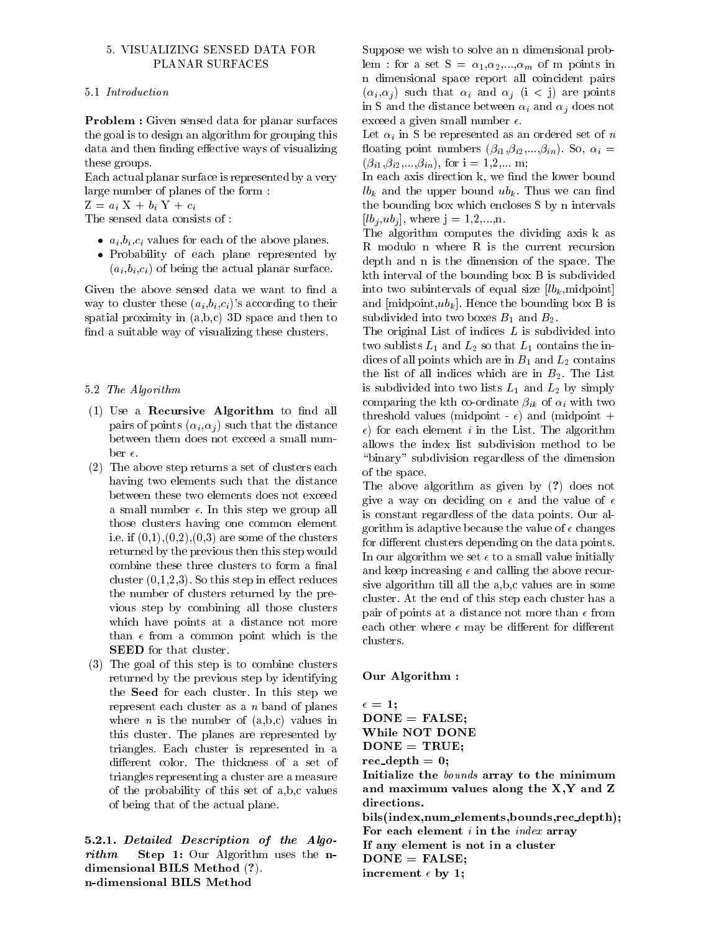### - VISUALIZING SENSED DATA FOR PLANAR SURFACES

**Problem :** Given sensed data for planar surfaces the goal is to design an algorithm for grouping this data and then finding effective ways of visualizing these groups.

Each actual planar surface is represented by a very large number of planes of the form

 $Z = a_i X + b_i Y + c_i$ 

The sensed data consists of

- $a_i, b_i, c_i$  values for each of the above planes.
- Probability of each plane represented by  $(a_i, b_i, c_i)$  of being the actual planar surface.

Given the above sensed data we want to find a way to cluster these  $(a_i, b_i, c_i)$ 's according to their spatial proximity in  $(a,b,c)$  3D space and then to find a suitable way of visualizing these clusters.

### see and a see a second control of the Algorithm second control of the Algorithm second control of the Algorithm

- $(1)$  Use a Recursive Algorithm to find all pairs of points  $(\alpha_i, \alpha_j)$  such that the distance between them does not exceed a small num
- (2) The above step returns a set of clusters each having two elements such that the distance between these two elements does not exceed a small number of the step we group allows the step we group allows the step we group allows the step we group those clusters having one common element  $\blacksquare$ returned by the previous then this step would combine these three clusters to form a final cluster is the step of the step in the step in the step in the step in the step in the step in the step in the the number of clusters returned by the pre vious step by combining all those clusters which have points at a distance not more than  $\epsilon$  from a common point which is the SEED for that cluster.
- (3) The goal of this step is to combine clusters returned by the previous step by identifying the Seed for the Section of the Section of the Section of the Section of the Section of the Section of the Section of the Section of the Section of the Section of the Section of the Section of the Section of the Section of represent each cluster as a  $n$  band of planes where *n* is the number of  $(a,b,c)$  values in this cluster-by-cluster-by-cluster-by-cluster-by-cluster-by-cluster-by-cluster-by-cluster-by-cluster-by-clustertrianglestriangles representing a cluster are a measure of the probability of this set of  $a,b,c$  values of being that of the actual plane-

5.2.1. Detailed Description of the Algorithm Step 1: Our Algorithm uses the ndimensional BILS Method - Alexandre - Alexandre - Alexandre - Alexandre - Alexandre - Alexandre - Alexandre n-dimensional BILS Method

Suppose we wish to solve an n dimensional prob lem a set S - a set S - a set S - a set S - a set S - a set S - a set S - a set S - a set S - a set S - a set n dimensional space report all coincident pairs  $(\alpha_i, \alpha_j)$  such that  $\alpha_i$  and  $\alpha_j$  (i < j) are points in S and the distance between  $\alpha_i$  and  $\alpha_j$  does not exceed a given small number  $\epsilon$ .

Let  $\alpha_i$  in S be represented as an ordered set of n  $\begin{array}{ccc} \bullet & \bullet & \bullet & \bullet & \bullet \end{array}$  . The matrix is the matrix in the matrix in the matrix is the matrix in the matrix in the matrix in the matrix is the matrix in the matrix in the matrix in the matrix in the matrix in the matr  $\mathcal{N} = \mathcal{N} = \mathcal{N} = \mathcal{N} = \mathcal{N} = \mathcal{N} = \mathcal{N} = \mathcal{N} = \mathcal{N} = \mathcal{N} = \mathcal{N} = \mathcal{N} = \mathcal{N} = \mathcal{N} = \mathcal{N} = \mathcal{N} = \mathcal{N} = \mathcal{N} = \mathcal{N} = \mathcal{N} = \mathcal{N} = \mathcal{N} = \mathcal{N} = \mathcal{N} = \mathcal{N} = \mathcal{N} = \mathcal{N} = \mathcal{N} = \mathcal{N} = \mathcal{N} = \mathcal{N} = \mathcal$ 

In each axis direction k, we find the lower bound lbk and the upper bound ubkthe bounding box which encloses S by n intervals lbj ubj where j ---n-

The algorithm computes the dividing axis k as R modulo n where R is the current recursion depth and n is the dimension of the space-dimension of the space-dimension of the space-dimension of the spacekth interval of the bounding box B is subdivided into two subintervals of equal size  $[lb_k, midpoint]$ and middle box B is a structure of the box B is a structure of the box B is a structure of the box B is a structure of the box B is a structure of the box B is a structure of the box B is a structure of the box B is a stru subdivided into two boxes B and B--

The original List of indices  $L$  is subdivided into that is the line  $\mathbb{L}_1$  and  $\mathbb{L}_2$  is the internal line in the internal line internal line in the internal line internal line in the internal line in the internal line in the internal line in the internal line in th dices of all points which are in B and L-L-  $\mu$  are in B and L-Lthe list of all indices which are in  $B_{\mu}$  , which  $B_{\mu}$ is subdivided in the subdivided into  $\mathbf{L}_1$  and  $\mathbf{L}_2$  and  $\mathbf{L}_3$  are simply in the subdivided in comparing the kth co-ordinate  $\beta_{ik}$  of  $\alpha_i$  with two threshold values (midpoint  $\epsilon$ ) and (midpoint  $+$ for each element in the List-in the List-in the List-in the List-in the List-in the List-in the List-in the algorithm  $\mathcal{L}$ allows the index list subdivision method to be "binary" subdivision regardless of the dimension of the space.

 $\blacksquare$  . The above algorithm as  $\blacksquare$  as a given by  $\blacksquare$  , and  $\blacksquare$  . Then is a given by  $\blacksquare$ give a way on deciding on  $\epsilon$  and the value of  $\epsilon$ is constant regardless of the data points- Our al gorithm is adaptive because the value of  $\epsilon$  changes for different clusters depending on the data points. In our algorithm we set  $\epsilon$  to a small value initially and keep increasing  $\epsilon$  and calling the above recursive algorithm till all the  $a,b,c$  values are in some cluster- and come the come at this step each come and only the pair of points at a distance not more than  $\epsilon$  from each other where  $\epsilon$  may be different for different clusters-

#### Our Algorithm

 $\epsilon = 1$ :  $DONE = FALSE;$ While NOT DONE  $DONE = TRUE;$ records and the contract of the contract of the contract of the contract of the contract of the contract of the Initialize the bounds array to the minimum and maximum values along the  $X, Y$  and  $Z$ directions bils(index,num\_elements,bounds,rec\_depth); For each element  $i$  in the  $index$  array If any element is not in a cluster  $DONE = FALSE;$ increment  $\epsilon$  by 1;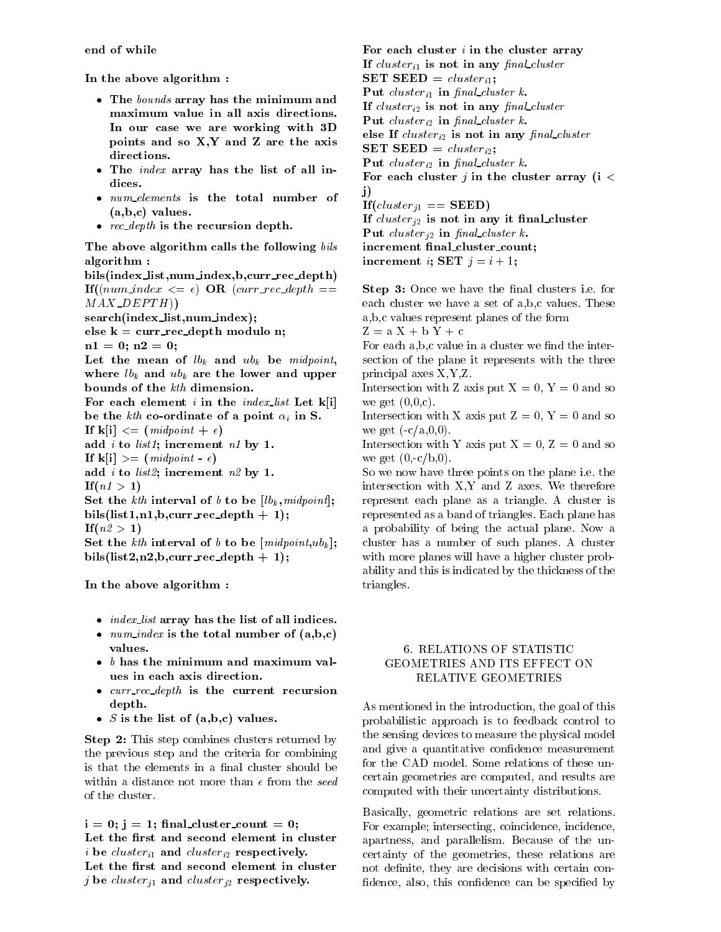end of while

In the above algorithm

- The bounds array has the minimum and maximum value in all axis directions In our case we are working with 3D points and so  $X, Y$  and  $Z$  are the axis directions
- The *index* array has the list of all indices
- *num elements* is the total number of  $(a,b,c)$  values.
- $\bullet$  rec depth is the recursion depth.

The above algorithm calls the following bils algorithm: algorithm and the control of the control of the control of the control of the control of the control of the control of the control of the control of the control of the control of the control of the control of the control o

bils(index\_list,num\_index,b,curr\_rec\_depth)  $\textbf{If}((num\_index \leq \epsilon) \textbf{OR} (curr\_rec\_depth ==$  $MAX$ <sub>-</sub> $DEFTH()$ search(index\_list,num\_index); else  $k = \text{curr\_rec\_depth}$  modulo n; n n Let the mean of  $lb_k$  and  $ub_k$  be midpoint, where  $lb_k$  and  $ub_k$  are the lower and upper bounds of the kth dimension. For each element i in the *index* list Let  $k[i]$ be the kth co-ordinate of a point  $\alpha_i$  in S. If  $\mathbf{k}[\mathbf{i}] \leq \mathbf{m}(\mathit{independent} + \epsilon)$ add *i* to *list1*; increment  $n1$  by 1. If ki - midpoint add *i* to *list2*; increment  $n2$  by 1. Ifn - Set the kth interval of b to be  $[lb_k, midpoint]$ ; bils(list1,n1,b,curr\_rec\_depth  $+1$ ); in a contract of the contract of the contract of the contract of the contract of the contract of the contract of the contract of the contract of the contract of the contract of the contract of the contract of the contract Set the kth interval of b to be  $\{midminpoint, ub_k\}$ ; bils(list2,n2,b,curr\_rec\_depth + 1);

In the above algorithm

- $\bullet$  index list array has the list of all indices.
- $num\_index$  is the total number of  $(a,b,c)$ values
- $\bullet$  b has the minimum and maximum values in each axis direction
- $\bullet$  curr rec depth is the current recursion depth
- S is the list of  $(a,b,c)$  values.

Step 2: This step combines clusters returned by the previous step and the criteria for combining is that the elements in a final cluster should be within a distance not more than  $\epsilon$  from the seed

i i state counter counter counter the counter of the counter of the counter of the counter of the counter of the counter of the counter of the counter of the counter of the counter of the counter of the counter of the coun Let the first and second element in cluster in the clustering clustering clustering the clustering  $\mu$  . Let the first and second element in cluster <sup>j</sup> be clusterj and clusterj- respectively

For each cluster  $i$  in the cluster array If  $cluster_{i1}$  is not in any final cluster SET SEED =  $cluster_{i1}$ ; Put cluster<sub>i1</sub> in final cluster k. If clustering in any natural clustering in any natural clustering in any natural clustering  $\mathcal{I}$ Put clusteri- in nal cluster k else If  $\alpha$  is not in any natural clustering  $\alpha$ SET SEED IN 1999 IN 1999 IN 1999 IN 1999 IN 1999 IN 1999 IN 1999 IN 1999 IN 1999 IN 1999 IN 1999 IN 1999 IN 19 Put clusteri- in nal cluster k For each cluster *j* in the cluster array ( $i <$ j)  $If (cluster_{i1} == SEED)$ If clusters is not in any item in any item in any item in any item in any item in any item in any item in any i <u>put cluster in the second cluster</u> in the contract of  $\mathcal{L}_1$ increment final\_cluster\_count; increment *i*; SET  $j = i + 1$ ;

Step i-de-barren i-be-barren i-be-barren i-be-barren i-be-barren i-be-barren i-be-barren i-be-barren i-be-barr each cluster we have a set of abc values-we have a set of abc values-we have a set of abc values-we have a set a, b, c values represent planes of the form

 $Z = a X + b Y + c$ 

For each  $a,b,c$  value in a cluster we find the intersection of the plane it represents with the three principal axes  $X, Y, Z$ .

Intersection with Z axis put  $X = 0$ ,  $Y = 0$  and so we get  $(0,0,c)$ .

Intersection with X axis put  $Z = 0$ ,  $Y = 0$  and so we get  $(-c/a, 0, 0)$ .

Intersection with Y axis put  $X = 0$ ,  $Z = 0$  and so we get  $(0,-c/b,0)$ .

so we now have the points of points on the plane i-the state iintersection with  $\frac{1}{2}$  and  $\frac{1}{2}$  are forest therefore and  $\frac{1}{2}$ represent anish planet as a triangles is trianglerepresented as a band of triangles- Each plane has a probability of being the actual plane-being the actual plane-being the actual plane-being the actual plane-b cluster has a number of such planes-  $\mathbb{R}$  cluster of such planes-  $\mathbb{R}$ with more planes will have a higher cluster prob ability and this is indicated by the thickness of the triangles.

## GEOMETRIES AND ITS EFFECT ON RELATIVE GEOMETRIES

As mentioned in the introduction, the goal of this probabilistic approach is to feedback control to the sensing devices to measure the physical model and give a quantitative confidence measurement certain geometries are computed, and results are computed with their uncertainty distributions-

Basically, geometric relations are set relations. For example; intersecting, coincidence, incidence, apartness and partners are partners and parallelism-because of the unit of the unit of the unit of the unit of certainty of the geometries, these relations are not definite, they are decisions with certain confidence, also, this confidence can be specified by